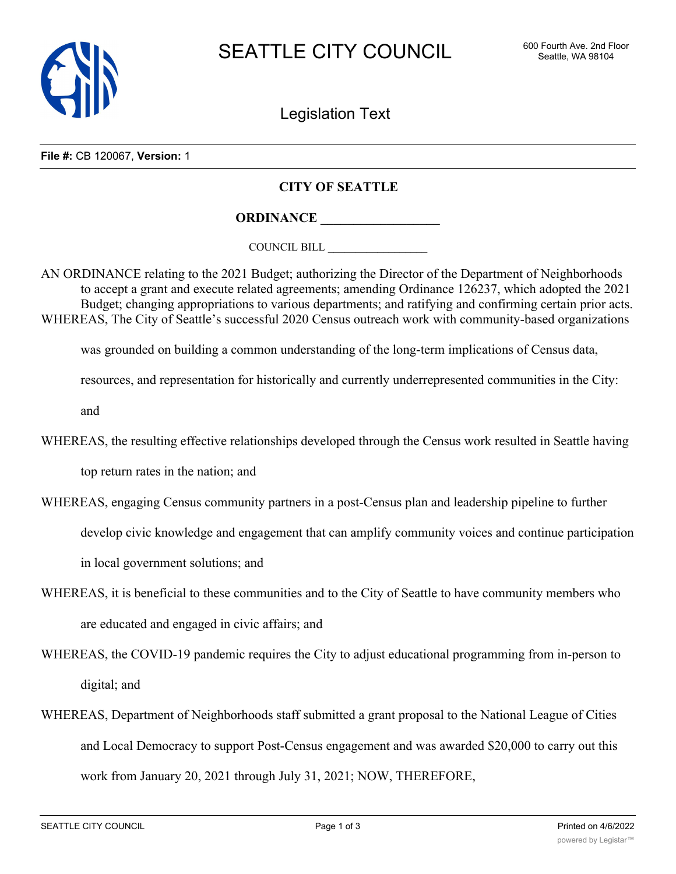

Legislation Text

**File #:** CB 120067, **Version:** 1

## **CITY OF SEATTLE**

**ORDINANCE \_\_\_\_\_\_\_\_\_\_\_\_\_\_\_\_\_\_**

COUNCIL BILL \_\_\_\_\_\_\_\_\_\_\_\_\_\_\_\_\_\_

AN ORDINANCE relating to the 2021 Budget; authorizing the Director of the Department of Neighborhoods to accept a grant and execute related agreements; amending Ordinance 126237, which adopted the 2021 Budget; changing appropriations to various departments; and ratifying and confirming certain prior acts. WHEREAS, The City of Seattle's successful 2020 Census outreach work with community-based organizations

was grounded on building a common understanding of the long-term implications of Census data,

resources, and representation for historically and currently underrepresented communities in the City:

and

WHEREAS, the resulting effective relationships developed through the Census work resulted in Seattle having

top return rates in the nation; and

WHEREAS, engaging Census community partners in a post-Census plan and leadership pipeline to further

develop civic knowledge and engagement that can amplify community voices and continue participation

in local government solutions; and

- WHEREAS, it is beneficial to these communities and to the City of Seattle to have community members who are educated and engaged in civic affairs; and
- WHEREAS, the COVID-19 pandemic requires the City to adjust educational programming from in-person to digital; and
- WHEREAS, Department of Neighborhoods staff submitted a grant proposal to the National League of Cities and Local Democracy to support Post-Census engagement and was awarded \$20,000 to carry out this work from January 20, 2021 through July 31, 2021; NOW, THEREFORE,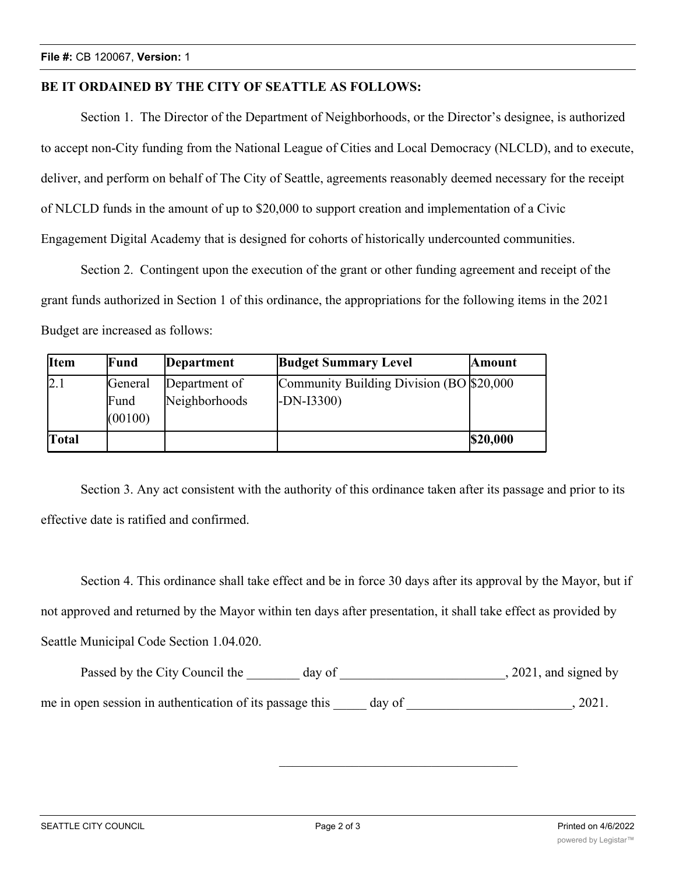## **BE IT ORDAINED BY THE CITY OF SEATTLE AS FOLLOWS:**

Section 1. The Director of the Department of Neighborhoods, or the Director's designee, is authorized to accept non-City funding from the National League of Cities and Local Democracy (NLCLD), and to execute, deliver, and perform on behalf of The City of Seattle, agreements reasonably deemed necessary for the receipt of NLCLD funds in the amount of up to \$20,000 to support creation and implementation of a Civic Engagement Digital Academy that is designed for cohorts of historically undercounted communities.

Section 2. Contingent upon the execution of the grant or other funding agreement and receipt of the grant funds authorized in Section 1 of this ordinance, the appropriations for the following items in the 2021 Budget are increased as follows:

| <b>Item</b>  | Fund                       | Department                     | <b>Budget Summary Level</b>                              | Amount   |
|--------------|----------------------------|--------------------------------|----------------------------------------------------------|----------|
| 2.1          | General<br>Fund<br>(00100) | Department of<br>Neighborhoods | Community Building Division (BO \$20,000)<br>$-DN-I3300$ |          |
| <b>Total</b> |                            |                                |                                                          | \$20,000 |

Section 3. Any act consistent with the authority of this ordinance taken after its passage and prior to its effective date is ratified and confirmed.

Section 4. This ordinance shall take effect and be in force 30 days after its approval by the Mayor, but if not approved and returned by the Mayor within ten days after presentation, it shall take effect as provided by Seattle Municipal Code Section 1.04.020.

| Passed by the City Council the                           | day of |        | , 2021, and signed by |
|----------------------------------------------------------|--------|--------|-----------------------|
| me in open session in authentication of its passage this |        | day of | 2021.                 |